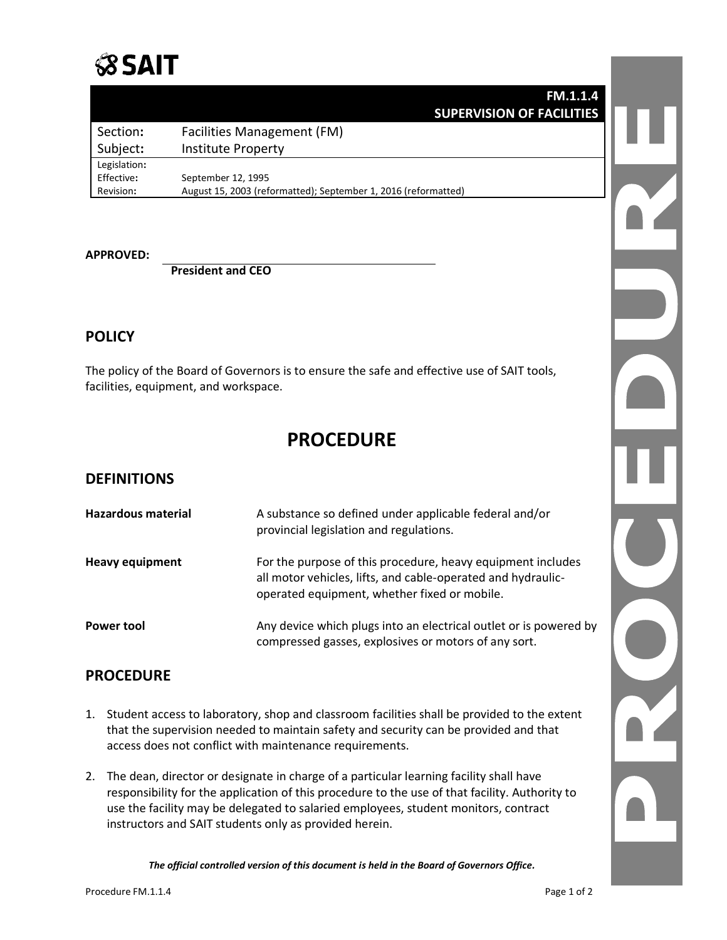## **SSAIT**

|              | <b>FM.1.1.4</b>                                                |  |
|--------------|----------------------------------------------------------------|--|
|              | <b>SUPERVISION OF FACILITIES</b>                               |  |
| Section:     | Facilities Management (FM)                                     |  |
| Subject:     | <b>Institute Property</b>                                      |  |
| Legislation: |                                                                |  |
| Effective:   | September 12, 1995                                             |  |
| Revision:    | August 15, 2003 (reformatted); September 1, 2016 (reformatted) |  |
|              |                                                                |  |

#### **APPROVED:**

**President and CEO**

#### **POLICY**

The policy of the Board of Governors is to ensure the safe and effective use of SAIT tools, facilities, equipment, and workspace.

### **PROCEDURE**

#### **DEFINITIONS**

| <b>Hazardous material</b> | A substance so defined under applicable federal and/or<br>provincial legislation and regulations.                                                                           |
|---------------------------|-----------------------------------------------------------------------------------------------------------------------------------------------------------------------------|
| <b>Heavy equipment</b>    | For the purpose of this procedure, heavy equipment includes<br>all motor vehicles, lifts, and cable-operated and hydraulic-<br>operated equipment, whether fixed or mobile. |
| <b>Power tool</b>         | Any device which plugs into an electrical outlet or is powered by<br>compressed gasses, explosives or motors of any sort.                                                   |

#### **PROCEDURE**

- 1. Student access to laboratory, shop and classroom facilities shall be provided to the extent that the supervision needed to maintain safety and security can be provided and that access does not conflict with maintenance requirements.
- 2. The dean, director or designate in charge of a particular learning facility shall have responsibility for the application of this procedure to the use of that facility. Authority to use the facility may be delegated to salaried employees, student monitors, contract instructors and SAIT students only as provided herein.

*The official controlled version of this document is held in the Board of Governors Office.*